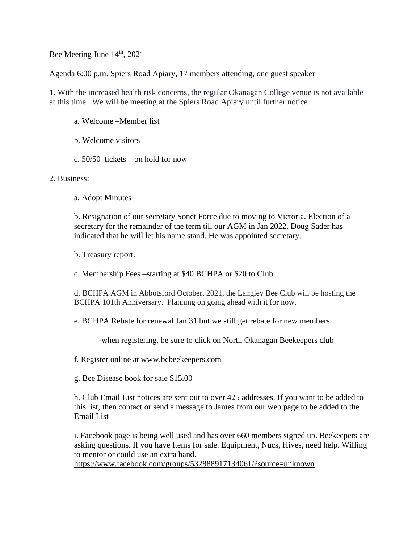Bee Meeting June 14<sup>th</sup>, 2021

Agenda 6:00 p.m. Spiers Road Apiary, 17 members attending, one guest speaker

1. With the increased health risk concerns, the regular Okanagan College venue is not available at this time. We will be meeting at the Spiers Road Apiary until further notice

- a. Welcome –Member list
- b. Welcome visitors –
- c. 50/50 tickets on hold for now

## 2. Business:

a. Adopt Minutes

b. Resignation of our secretary Sonet Force due to moving to Victoria. Election of a secretary for the remainder of the term till our AGM in Jan 2022. Doug Sader has indicated that he will let his name stand. He was appointed secretary.

b. Treasury report.

c. Membership Fees –starting at \$40 BCHPA or \$20 to Club

d. BCHPA AGM in Abbotsford October, 2021, the Langley Bee Club will be hosting the BCHPA 101th Anniversary. Planning on going ahead with it for now.

e. BCHPA Rebate for renewal Jan 31 but we still get rebate for new members

-when registering, be sure to click on North Okanagan Beekeepers club

f. Register online at www.bcbeekeepers.com

g. Bee Disease book for sale \$15.00

h. Club Email List notices are sent out to over 425 addresses. If you want to be added to this list, then contact or send a message to James from our web page to be added to the Email List

i. Facebook page is being well used and has over 660 members signed up. Beekeepers are asking questions. If you have Items for sale. Equipment, Nucs, Hives, need help. Willing to mentor or could use an extra hand.

<https://www.facebook.com/groups/532888917134061/?source=unknown>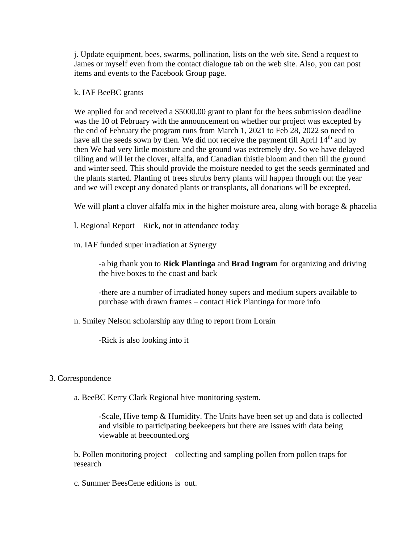j. Update equipment, bees, swarms, pollination, lists on the web site. Send a request to James or myself even from the contact dialogue tab on the web site. Also, you can post items and events to the Facebook Group page.

## k. IAF BeeBC grants

We applied for and received a \$5000.00 grant to plant for the bees submission deadline was the 10 of February with the announcement on whether our project was excepted by the end of February the program runs from March 1, 2021 to Feb 28, 2022 so need to have all the seeds sown by then. We did not receive the payment till April  $14<sup>th</sup>$  and by then We had very little moisture and the ground was extremely dry. So we have delayed tilling and will let the clover, alfalfa, and Canadian thistle bloom and then till the ground and winter seed. This should provide the moisture needed to get the seeds germinated and the plants started. Planting of trees shrubs berry plants will happen through out the year and we will except any donated plants or transplants, all donations will be excepted.

We will plant a clover alfalfa mix in the higher moisture area, along with borage & phacelia

l. Regional Report – Rick, not in attendance today

m. IAF funded super irradiation at Synergy

-a big thank you to **Rick Plantinga** and **Brad Ingram** for organizing and driving the hive boxes to the coast and back

-there are a number of irradiated honey supers and medium supers available to purchase with drawn frames – contact Rick Plantinga for more info

n. Smiley Nelson scholarship any thing to report from Lorain

-Rick is also looking into it

## 3. Correspondence

a. BeeBC Kerry Clark Regional hive monitoring system.

-Scale, Hive temp & Humidity. The Units have been set up and data is collected and visible to participating beekeepers but there are issues with data being viewable at beecounted.org

b. Pollen monitoring project – collecting and sampling pollen from pollen traps for research

c. Summer BeesCene editions is out.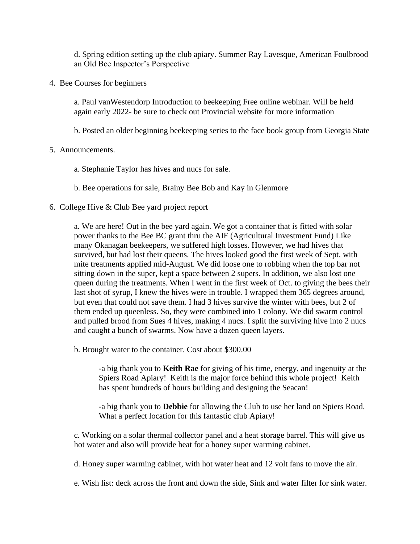d. Spring edition setting up the club apiary. Summer Ray Lavesque, American Foulbrood an Old Bee Inspector's Perspective

4. Bee Courses for beginners

a. Paul vanWestendorp Introduction to beekeeping Free online webinar. Will be held again early 2022- be sure to check out Provincial website for more information

b. Posted an older beginning beekeeping series to the face book group from Georgia State

## 5. Announcements.

a. Stephanie Taylor has hives and nucs for sale.

b. Bee operations for sale, Brainy Bee Bob and Kay in Glenmore

6. College Hive & Club Bee yard project report

a. We are here! Out in the bee yard again. We got a container that is fitted with solar power thanks to the Bee BC grant thru the AIF (Agricultural Investment Fund) Like many Okanagan beekeepers, we suffered high losses. However, we had hives that survived, but had lost their queens. The hives looked good the first week of Sept. with mite treatments applied mid-August. We did loose one to robbing when the top bar not sitting down in the super, kept a space between 2 supers. In addition, we also lost one queen during the treatments. When I went in the first week of Oct. to giving the bees their last shot of syrup, I knew the hives were in trouble. I wrapped them 365 degrees around, but even that could not save them. I had 3 hives survive the winter with bees, but 2 of them ended up queenless. So, they were combined into 1 colony. We did swarm control and pulled brood from Sues 4 hives, making 4 nucs. I split the surviving hive into 2 nucs and caught a bunch of swarms. Now have a dozen queen layers.

b. Brought water to the container. Cost about \$300.00

-a big thank you to **Keith Rae** for giving of his time, energy, and ingenuity at the Spiers Road Apiary! Keith is the major force behind this whole project! Keith has spent hundreds of hours building and designing the Seacan!

-a big thank you to **Debbie** for allowing the Club to use her land on Spiers Road. What a perfect location for this fantastic club Apiary!

c. Working on a solar thermal collector panel and a heat storage barrel. This will give us hot water and also will provide heat for a honey super warming cabinet.

d. Honey super warming cabinet, with hot water heat and 12 volt fans to move the air.

e. Wish list: deck across the front and down the side, Sink and water filter for sink water.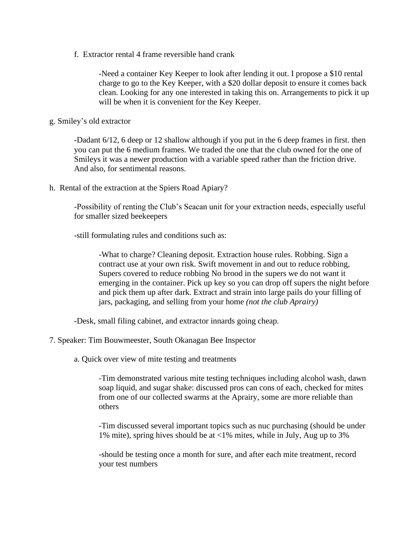f. Extractor rental 4 frame reversible hand crank

-Need a container Key Keeper to look after lending it out. I propose a \$10 rental charge to go to the Key Keeper, with a \$20 dollar deposit to ensure it comes back clean. Looking for any one interested in taking this on. Arrangements to pick it up will be when it is convenient for the Key Keeper.

g. Smiley's old extractor

-Dadant 6/12, 6 deep or 12 shallow although if you put in the 6 deep frames in first. then you can put the 6 medium frames. We traded the one that the club owned for the one of Smileys it was a newer production with a variable speed rather than the friction drive. And also, for sentimental reasons.

h. Rental of the extraction at the Spiers Road Apiary?

-Possibility of renting the Club's Seacan unit for your extraction needs, especially useful for smaller sized beekeepers

-still formulating rules and conditions such as:

-What to charge? Cleaning deposit. Extraction house rules. Robbing. Sign a contract use at your own risk. Swift movement in and out to reduce robbing, Supers covered to reduce robbing No brood in the supers we do not want it emerging in the container. Pick up key so you can drop off supers the night before and pick them up after dark. Extract and strain into large pails do your filling of jars, packaging, and selling from your home *(not the club Aprairy)*

-Desk, small filing cabinet, and extractor innards going cheap.

7. Speaker: Tim Bouwmeester, South Okanagan Bee Inspector

a. Quick over view of mite testing and treatments

-Tim demonstrated various mite testing techniques including alcohol wash, dawn soap liquid, and sugar shake: discussed pros can cons of each, checked for mites from one of our collected swarms at the Aprairy, some are more reliable than others

-Tim discussed several important topics such as nuc purchasing (should be under 1% mite), spring hives should be at <1% mites, while in July, Aug up to 3%

-should be testing once a month for sure, and after each mite treatment, record your test numbers